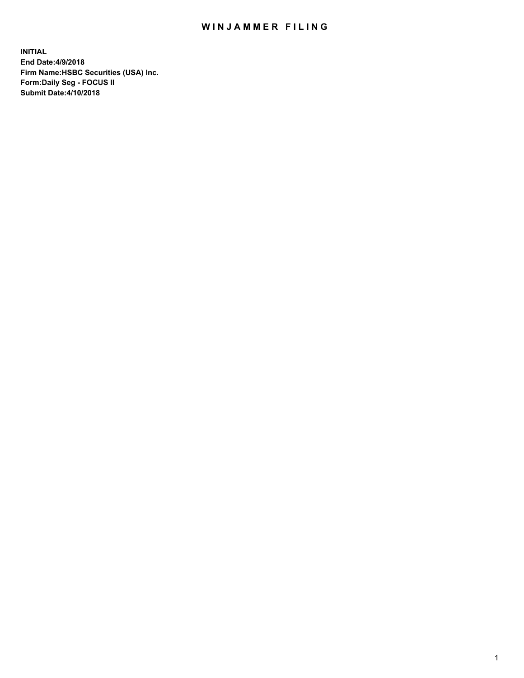## WIN JAMMER FILING

**INITIAL End Date:4/9/2018 Firm Name:HSBC Securities (USA) Inc. Form:Daily Seg - FOCUS II Submit Date:4/10/2018**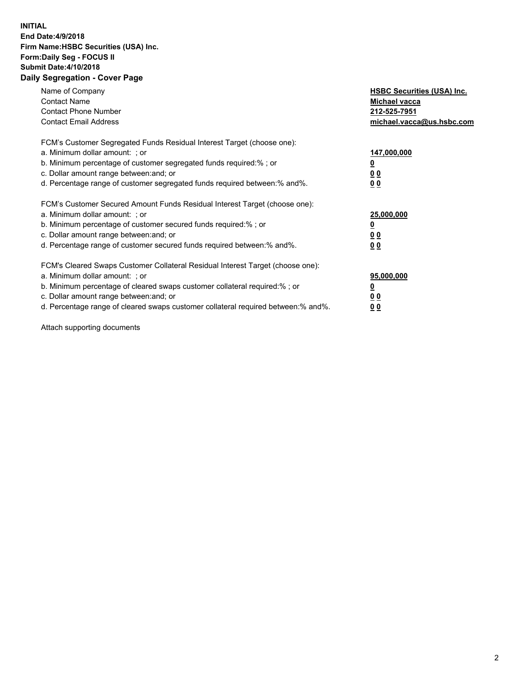## **INITIAL End Date:4/9/2018 Firm Name:HSBC Securities (USA) Inc. Form:Daily Seg - FOCUS II Submit Date:4/10/2018 Daily Segregation - Cover Page**

| Name of Company<br><b>Contact Name</b><br><b>Contact Phone Number</b><br><b>Contact Email Address</b>                                                                                                                                                                                                                          | <b>HSBC Securities (USA) Inc.</b><br>Michael vacca<br>212-525-7951<br>michael.vacca@us.hsbc.com |
|--------------------------------------------------------------------------------------------------------------------------------------------------------------------------------------------------------------------------------------------------------------------------------------------------------------------------------|-------------------------------------------------------------------------------------------------|
| FCM's Customer Segregated Funds Residual Interest Target (choose one):<br>a. Minimum dollar amount: ; or<br>b. Minimum percentage of customer segregated funds required:%; or<br>c. Dollar amount range between: and; or<br>d. Percentage range of customer segregated funds required between:% and%.                          | 147,000,000<br><u>0</u><br><u>00</u><br>00                                                      |
| FCM's Customer Secured Amount Funds Residual Interest Target (choose one):<br>a. Minimum dollar amount: ; or<br>b. Minimum percentage of customer secured funds required:%; or<br>c. Dollar amount range between: and; or<br>d. Percentage range of customer secured funds required between:% and%.                            | 25,000,000<br><u>0</u><br><u>00</u><br>00                                                       |
| FCM's Cleared Swaps Customer Collateral Residual Interest Target (choose one):<br>a. Minimum dollar amount: ; or<br>b. Minimum percentage of cleared swaps customer collateral required:% ; or<br>c. Dollar amount range between: and; or<br>d. Percentage range of cleared swaps customer collateral required between:% and%. | 95,000,000<br><u>0</u><br><u>00</u><br>0 <sub>0</sub>                                           |

Attach supporting documents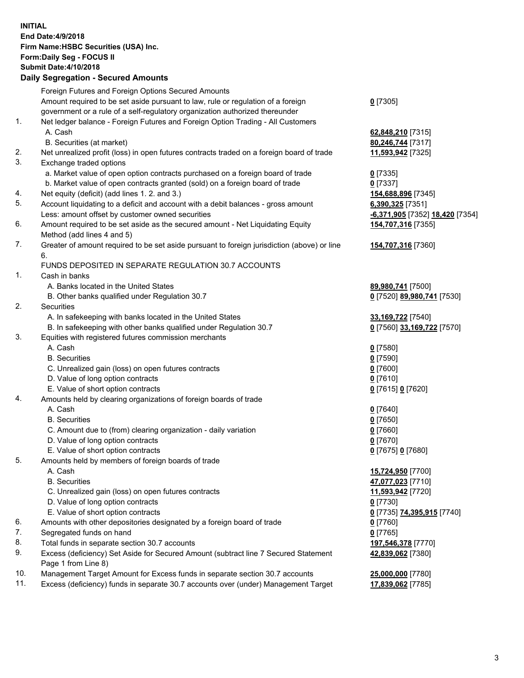**INITIAL End Date:4/9/2018 Firm Name:HSBC Securities (USA) Inc. Form:Daily Seg - FOCUS II Submit Date:4/10/2018 Daily Segregation - Secured Amounts** Foreign Futures and Foreign Options Secured Amounts Amount required to be set aside pursuant to law, rule or regulation of a foreign government or a rule of a self-regulatory organization authorized thereunder **0** [7305] 1. Net ledger balance - Foreign Futures and Foreign Option Trading - All Customers A. Cash **62,848,210** [7315] B. Securities (at market) **80,246,744** [7317] 2. Net unrealized profit (loss) in open futures contracts traded on a foreign board of trade **11,593,942** [7325] 3. Exchange traded options a. Market value of open option contracts purchased on a foreign board of trade **0** [7335] b. Market value of open contracts granted (sold) on a foreign board of trade **0** [7337] 4. Net equity (deficit) (add lines 1. 2. and 3.) **154,688,896** [7345] 5. Account liquidating to a deficit and account with a debit balances - gross amount **6,390,325** [7351] Less: amount offset by customer owned securities **-6,371,905** [7352] **18,420** [7354] 6. Amount required to be set aside as the secured amount - Net Liquidating Equity Method (add lines 4 and 5) **154,707,316** [7355] 7. Greater of amount required to be set aside pursuant to foreign jurisdiction (above) or line 6. **154,707,316** [7360] FUNDS DEPOSITED IN SEPARATE REGULATION 30.7 ACCOUNTS 1. Cash in banks A. Banks located in the United States **89,980,741** [7500] B. Other banks qualified under Regulation 30.7 **0** [7520] **89,980,741** [7530] 2. Securities A. In safekeeping with banks located in the United States **33,169,722** [7540] B. In safekeeping with other banks qualified under Regulation 30.7 **0** [7560] **33,169,722** [7570] 3. Equities with registered futures commission merchants A. Cash **0** [7580] B. Securities **0** [7590] C. Unrealized gain (loss) on open futures contracts **0** [7600] D. Value of long option contracts **0** [7610] E. Value of short option contracts **0** [7615] **0** [7620] 4. Amounts held by clearing organizations of foreign boards of trade A. Cash **0** [7640] B. Securities **0** [7650] C. Amount due to (from) clearing organization - daily variation **0** [7660] D. Value of long option contracts **0** [7670] E. Value of short option contracts **0** [7675] **0** [7680] 5. Amounts held by members of foreign boards of trade A. Cash **15,724,950** [7700] B. Securities **47,077,023** [7710] C. Unrealized gain (loss) on open futures contracts **11,593,942** [7720] D. Value of long option contracts **0** [7730] E. Value of short option contracts **0** [7735] **74,395,915** [7740] 6. Amounts with other depositories designated by a foreign board of trade **0** [7760] 7. Segregated funds on hand **0** [7765] 8. Total funds in separate section 30.7 accounts **197,546,378** [7770] 9. Excess (deficiency) Set Aside for Secured Amount (subtract line 7 Secured Statement Page 1 from Line 8) **42,839,062** [7380]

10. Management Target Amount for Excess funds in separate section 30.7 accounts **25,000,000** [7780]

11. Excess (deficiency) funds in separate 30.7 accounts over (under) Management Target **17,839,062** [7785]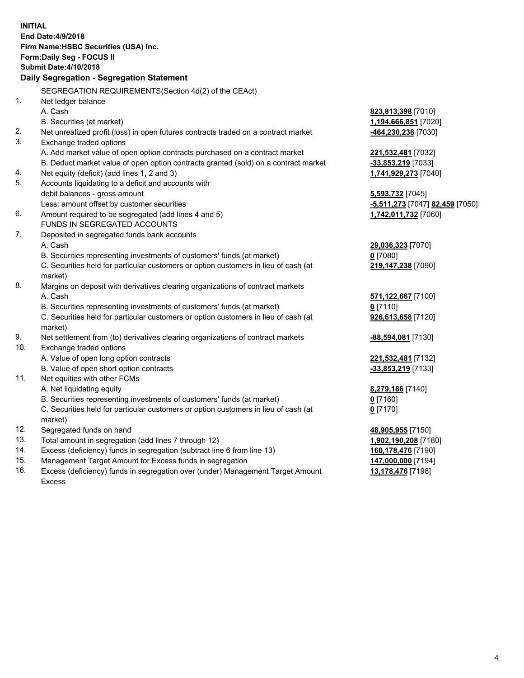|                    | <b>INITIAL</b>                                                                                             |                                          |  |  |  |  |
|--------------------|------------------------------------------------------------------------------------------------------------|------------------------------------------|--|--|--|--|
| End Date: 4/9/2018 |                                                                                                            |                                          |  |  |  |  |
|                    | Firm Name: HSBC Securities (USA) Inc.                                                                      |                                          |  |  |  |  |
|                    | Form: Daily Seg - FOCUS II                                                                                 |                                          |  |  |  |  |
|                    | <b>Submit Date: 4/10/2018</b>                                                                              |                                          |  |  |  |  |
|                    | Daily Segregation - Segregation Statement                                                                  |                                          |  |  |  |  |
|                    | SEGREGATION REQUIREMENTS(Section 4d(2) of the CEAct)                                                       |                                          |  |  |  |  |
| 1.                 | Net ledger balance                                                                                         |                                          |  |  |  |  |
|                    | A. Cash                                                                                                    | 823,813,398 [7010]                       |  |  |  |  |
|                    | B. Securities (at market)                                                                                  | 1,194,666,851 [7020]                     |  |  |  |  |
| 2.                 | Net unrealized profit (loss) in open futures contracts traded on a contract market                         | -464,230,238 [7030]                      |  |  |  |  |
| 3.                 | Exchange traded options                                                                                    |                                          |  |  |  |  |
|                    | A. Add market value of open option contracts purchased on a contract market                                | 221,532,481 [7032]                       |  |  |  |  |
|                    | B. Deduct market value of open option contracts granted (sold) on a contract market                        | -33,853,219 [7033]                       |  |  |  |  |
| 4.                 | Net equity (deficit) (add lines 1, 2 and 3)                                                                | 1,741,929,273 [7040]                     |  |  |  |  |
| 5.                 | Accounts liquidating to a deficit and accounts with                                                        |                                          |  |  |  |  |
|                    | debit balances - gross amount                                                                              | 5,593,732 [7045]                         |  |  |  |  |
|                    | Less: amount offset by customer securities                                                                 | -5,511,273 [7047] 82,459 [7050]          |  |  |  |  |
| 6.                 | Amount required to be segregated (add lines 4 and 5)                                                       | 1,742,011,732 [7060]                     |  |  |  |  |
|                    | FUNDS IN SEGREGATED ACCOUNTS                                                                               |                                          |  |  |  |  |
| 7.                 | Deposited in segregated funds bank accounts                                                                |                                          |  |  |  |  |
|                    | A. Cash                                                                                                    | 29,036,323 [7070]                        |  |  |  |  |
|                    | B. Securities representing investments of customers' funds (at market)                                     | $0$ [7080]                               |  |  |  |  |
|                    | C. Securities held for particular customers or option customers in lieu of cash (at                        | 219,147,238 [7090]                       |  |  |  |  |
|                    | market)                                                                                                    |                                          |  |  |  |  |
| 8.                 | Margins on deposit with derivatives clearing organizations of contract markets                             |                                          |  |  |  |  |
|                    | A. Cash                                                                                                    | 571,122,667 [7100]                       |  |  |  |  |
|                    | B. Securities representing investments of customers' funds (at market)                                     | $0$ [7110]                               |  |  |  |  |
|                    | C. Securities held for particular customers or option customers in lieu of cash (at                        | 926,613,658 [7120]                       |  |  |  |  |
|                    | market)                                                                                                    |                                          |  |  |  |  |
| 9.<br>10.          | Net settlement from (to) derivatives clearing organizations of contract markets<br>Exchange traded options | -88,594,081 [7130]                       |  |  |  |  |
|                    | A. Value of open long option contracts                                                                     |                                          |  |  |  |  |
|                    | B. Value of open short option contracts                                                                    | 221,532,481 [7132]<br>-33,853,219 [7133] |  |  |  |  |
| 11.                | Net equities with other FCMs                                                                               |                                          |  |  |  |  |
|                    | A. Net liquidating equity                                                                                  | 8,279,186 [7140]                         |  |  |  |  |
|                    | B. Securities representing investments of customers' funds (at market)                                     | $0$ [7160]                               |  |  |  |  |
|                    | C. Securities held for particular customers or option customers in lieu of cash (at                        | $0$ [7170]                               |  |  |  |  |
|                    | market)                                                                                                    |                                          |  |  |  |  |
| 12.                | Segregated funds on hand                                                                                   | 48,905,955 [7150]                        |  |  |  |  |
| 13.                | Total amount in segregation (add lines 7 through 12)                                                       | 1,902,190,208 [7180]                     |  |  |  |  |
| 14.                | Excess (deficiency) funds in segregation (subtract line 6 from line 13)                                    | 160,178,476 [7190]                       |  |  |  |  |
| 15.                | Management Target Amount for Excess funds in segregation                                                   | 147,000,000 [7194]                       |  |  |  |  |
| 16.                | Excess (deficiency) funds in segregation over (under) Management Target Amount                             | 13,178,476 [7198]                        |  |  |  |  |

16. Excess (deficiency) funds in segregation over (under) Management Target Amount Excess